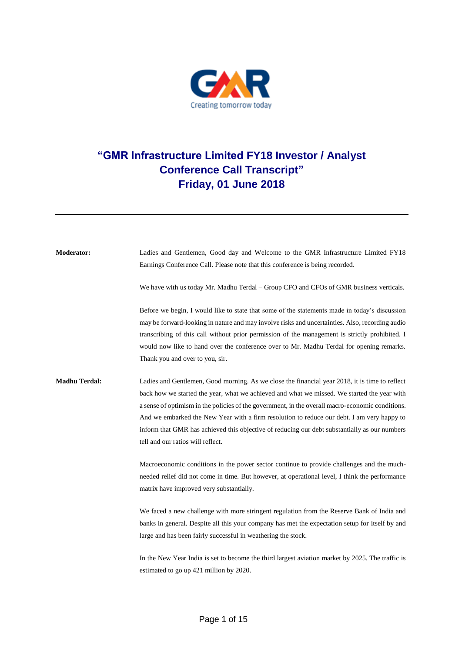

## **"GMR Infrastructure Limited FY18 Investor / Analyst Conference Call Transcript" Friday, 01 June 2018**

**Moderator:** Ladies and Gentlemen, Good day and Welcome to the GMR Infrastructure Limited FY18 Earnings Conference Call. Please note that this conference is being recorded. We have with us today Mr. Madhu Terdal – Group CFO and CFOs of GMR business verticals. Before we begin, I would like to state that some of the statements made in today's discussion may be forward-looking in nature and may involve risks and uncertainties. Also, recording audio transcribing of this call without prior permission of the management is strictly prohibited. I would now like to hand over the conference over to Mr. Madhu Terdal for opening remarks. Thank you and over to you, sir. **Madhu Terdal:** Ladies and Gentlemen, Good morning. As we close the financial year 2018, it is time to reflect back how we started the year, what we achieved and what we missed. We started the year with a sense of optimism in the policies of the government, in the overall macro-economic conditions. And we embarked the New Year with a firm resolution to reduce our debt. I am very happy to inform that GMR has achieved this objective of reducing our debt substantially as our numbers tell and our ratios will reflect. Macroeconomic conditions in the power sector continue to provide challenges and the muchneeded relief did not come in time. But however, at operational level, I think the performance matrix have improved very substantially. We faced a new challenge with more stringent regulation from the Reserve Bank of India and banks in general. Despite all this your company has met the expectation setup for itself by and large and has been fairly successful in weathering the stock. In the New Year India is set to become the third largest aviation market by 2025. The traffic is estimated to go up 421 million by 2020.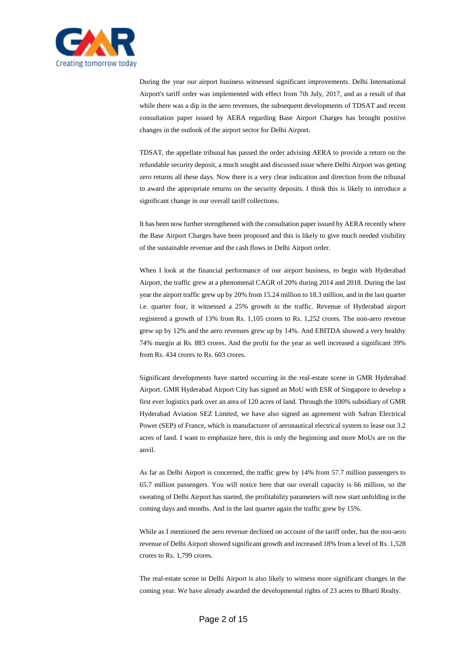

During the year our airport business witnessed significant improvements. Delhi International Airport's tariff order was implemented with effect from 7th July, 2017, and as a result of that while there was a dip in the aero revenues, the subsequent developments of TDSAT and recent consultation paper issued by AERA regarding Base Airport Charges has brought positive changes in the outlook of the airport sector for Delhi Airport.

TDSAT, the appellate tribunal has passed the order advising AERA to provide a return on the refundable security deposit, a much sought and discussed issue where Delhi Airport was getting zero returns all these days. Now there is a very clear indication and direction from the tribunal to award the appropriate returns on the security deposits. I think this is likely to introduce a significant change in our overall tariff collections.

It has been now further strengthened with the consultation paper issued by AERA recently where the Base Airport Charges have been proposed and this is likely to give much needed visibility of the sustainable revenue and the cash flows in Delhi Airport order.

When I look at the financial performance of our airport business, to begin with Hyderabad Airport, the traffic grew at a phenomenal CAGR of 20% during 2014 and 2018. During the last year the airport traffic grew up by 20% from 15.24 million to 18.3 million, and in the last quarter i.e. quarter four, it witnessed a 25% growth in the traffic. Revenue of Hyderabad airport registered a growth of 13% from Rs. 1,105 crores to Rs. 1,252 crores. The non-aero revenue grew up by 12% and the aero revenues grew up by 14%. And EBITDA showed a very healthy 74% margin at Rs. 883 crores. And the profit for the year as well increased a significant 39% from Rs. 434 crores to Rs. 603 crores.

Significant developments have started occurring in the real-estate scene in GMR Hyderabad Airport. GMR Hyderabad Airport City has signed an MoU with ESR of Singapore to develop a first ever logistics park over an area of 120 acres of land. Through the 100% subsidiary of GMR Hyderabad Aviation SEZ Limited, we have also signed an agreement with Safran Electrical Power (SEP) of France, which is manufacturer of aeronautical electrical system to lease out 3.2 acres of land. I want to emphasize here, this is only the beginning and more MoUs are on the anvil.

As far as Delhi Airport is concerned, the traffic grew by 14% from 57.7 million passengers to 65.7 million passengers. You will notice here that our overall capacity is 66 million, so the sweating of Delhi Airport has started, the profitability parameters will now start unfolding in the coming days and months. And in the last quarter again the traffic grew by 15%.

While as I mentioned the aero revenue declined on account of the tariff order, but the non-aero revenue of Delhi Airport showed significant growth and increased 18% from a level of Rs. 1,528 crores to Rs. 1,799 crores.

The real-estate scene in Delhi Airport is also likely to witness more significant changes in the coming year. We have already awarded the developmental rights of 23 acres to Bharti Realty.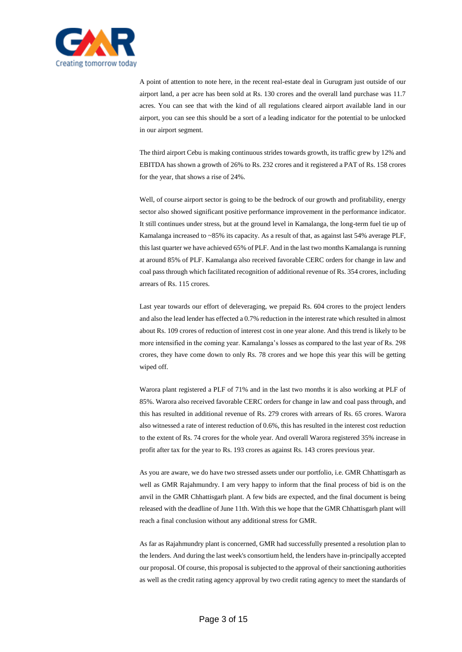

A point of attention to note here, in the recent real-estate deal in Gurugram just outside of our airport land, a per acre has been sold at Rs. 130 crores and the overall land purchase was 11.7 acres. You can see that with the kind of all regulations cleared airport available land in our airport, you can see this should be a sort of a leading indicator for the potential to be unlocked in our airport segment.

The third airport Cebu is making continuous strides towards growth, its traffic grew by 12% and EBITDA has shown a growth of 26% to Rs. 232 crores and it registered a PAT of Rs. 158 crores for the year, that shows a rise of 24%.

Well, of course airport sector is going to be the bedrock of our growth and profitability, energy sector also showed significant positive performance improvement in the performance indicator. It still continues under stress, but at the ground level in Kamalanga, the long-term fuel tie up of Kamalanga increased to ~85% its capacity. As a result of that, as against last 54% average PLF, this last quarter we have achieved 65% of PLF. And in the last two months Kamalanga is running at around 85% of PLF. Kamalanga also received favorable CERC orders for change in law and coal pass through which facilitated recognition of additional revenue of Rs. 354 crores, including arrears of Rs. 115 crores.

Last year towards our effort of deleveraging, we prepaid Rs. 604 crores to the project lenders and also the lead lender has effected a 0.7% reduction in the interest rate which resulted in almost about Rs. 109 crores of reduction of interest cost in one year alone. And this trend is likely to be more intensified in the coming year. Kamalanga's losses as compared to the last year of Rs. 298 crores, they have come down to only Rs. 78 crores and we hope this year this will be getting wiped off.

Warora plant registered a PLF of 71% and in the last two months it is also working at PLF of 85%. Warora also received favorable CERC orders for change in law and coal pass through, and this has resulted in additional revenue of Rs. 279 crores with arrears of Rs. 65 crores. Warora also witnessed a rate of interest reduction of 0.6%, this has resulted in the interest cost reduction to the extent of Rs. 74 crores for the whole year. And overall Warora registered 35% increase in profit after tax for the year to Rs. 193 crores as against Rs. 143 crores previous year.

As you are aware, we do have two stressed assets under our portfolio, i.e. GMR Chhattisgarh as well as GMR Rajahmundry. I am very happy to inform that the final process of bid is on the anvil in the GMR Chhattisgarh plant. A few bids are expected, and the final document is being released with the deadline of June 11th. With this we hope that the GMR Chhattisgarh plant will reach a final conclusion without any additional stress for GMR.

As far as Rajahmundry plant is concerned, GMR had successfully presented a resolution plan to the lenders. And during the last week's consortium held, the lenders have in-principally accepted our proposal. Of course, this proposal is subjected to the approval of their sanctioning authorities as well as the credit rating agency approval by two credit rating agency to meet the standards of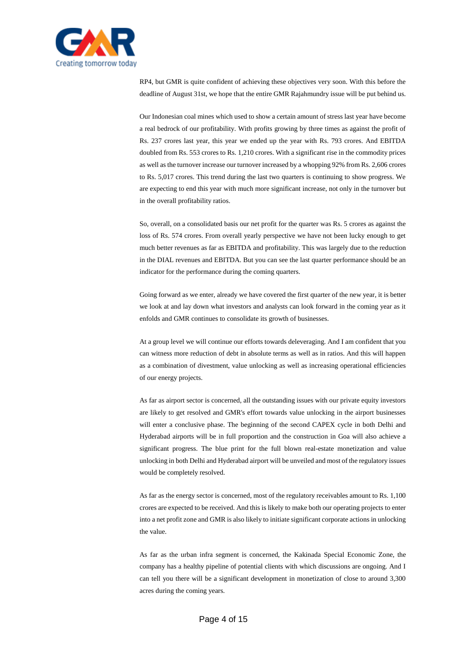

RP4, but GMR is quite confident of achieving these objectives very soon. With this before the deadline of August 31st, we hope that the entire GMR Rajahmundry issue will be put behind us.

Our Indonesian coal mines which used to show a certain amount of stress last year have become a real bedrock of our profitability. With profits growing by three times as against the profit of Rs. 237 crores last year, this year we ended up the year with Rs. 793 crores. And EBITDA doubled from Rs. 553 crores to Rs. 1,210 crores. With a significant rise in the commodity prices as well as the turnover increase our turnover increased by a whopping 92% from Rs. 2,606 crores to Rs. 5,017 crores. This trend during the last two quarters is continuing to show progress. We are expecting to end this year with much more significant increase, not only in the turnover but in the overall profitability ratios.

So, overall, on a consolidated basis our net profit for the quarter was Rs. 5 crores as against the loss of Rs. 574 crores. From overall yearly perspective we have not been lucky enough to get much better revenues as far as EBITDA and profitability. This was largely due to the reduction in the DIAL revenues and EBITDA. But you can see the last quarter performance should be an indicator for the performance during the coming quarters.

Going forward as we enter, already we have covered the first quarter of the new year, it is better we look at and lay down what investors and analysts can look forward in the coming year as it enfolds and GMR continues to consolidate its growth of businesses.

At a group level we will continue our efforts towards deleveraging. And I am confident that you can witness more reduction of debt in absolute terms as well as in ratios. And this will happen as a combination of divestment, value unlocking as well as increasing operational efficiencies of our energy projects.

As far as airport sector is concerned, all the outstanding issues with our private equity investors are likely to get resolved and GMR's effort towards value unlocking in the airport businesses will enter a conclusive phase. The beginning of the second CAPEX cycle in both Delhi and Hyderabad airports will be in full proportion and the construction in Goa will also achieve a significant progress. The blue print for the full blown real-estate monetization and value unlocking in both Delhi and Hyderabad airport will be unveiled and most of the regulatory issues would be completely resolved.

As far as the energy sector is concerned, most of the regulatory receivables amount to Rs. 1,100 crores are expected to be received. And this is likely to make both our operating projects to enter into a net profit zone and GMR is also likely to initiate significant corporate actions in unlocking the value.

As far as the urban infra segment is concerned, the Kakinada Special Economic Zone, the company has a healthy pipeline of potential clients with which discussions are ongoing. And I can tell you there will be a significant development in monetization of close to around 3,300 acres during the coming years.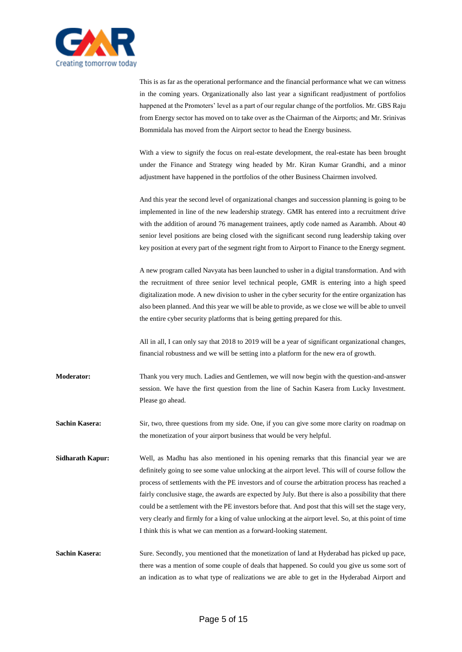

This is as far as the operational performance and the financial performance what we can witness in the coming years. Organizationally also last year a significant readjustment of portfolios happened at the Promoters' level as a part of our regular change of the portfolios. Mr. GBS Raju from Energy sector has moved on to take over as the Chairman of the Airports; and Mr. Srinivas Bommidala has moved from the Airport sector to head the Energy business.

With a view to signify the focus on real-estate development, the real-estate has been brought under the Finance and Strategy wing headed by Mr. Kiran Kumar Grandhi, and a minor adjustment have happened in the portfolios of the other Business Chairmen involved.

And this year the second level of organizational changes and succession planning is going to be implemented in line of the new leadership strategy. GMR has entered into a recruitment drive with the addition of around 76 management trainees, aptly code named as Aarambh. About 40 senior level positions are being closed with the significant second rung leadership taking over key position at every part of the segment right from to Airport to Finance to the Energy segment.

A new program called Navyata has been launched to usher in a digital transformation. And with the recruitment of three senior level technical people, GMR is entering into a high speed digitalization mode. A new division to usher in the cyber security for the entire organization has also been planned. And this year we will be able to provide, as we close we will be able to unveil the entire cyber security platforms that is being getting prepared for this.

All in all, I can only say that 2018 to 2019 will be a year of significant organizational changes, financial robustness and we will be setting into a platform for the new era of growth.

**Moderator:** Thank you very much. Ladies and Gentlemen, we will now begin with the question-and-answer session. We have the first question from the line of Sachin Kasera from Lucky Investment. Please go ahead.

**Sachin Kasera:** Sir, two, three questions from my side. One, if you can give some more clarity on roadmap on the monetization of your airport business that would be very helpful.

**Sidharath Kapur:** Well, as Madhu has also mentioned in his opening remarks that this financial year we are definitely going to see some value unlocking at the airport level. This will of course follow the process of settlements with the PE investors and of course the arbitration process has reached a fairly conclusive stage, the awards are expected by July. But there is also a possibility that there could be a settlement with the PE investors before that. And post that this will set the stage very, very clearly and firmly for a king of value unlocking at the airport level. So, at this point of time I think this is what we can mention as a forward-looking statement.

**Sachin Kasera:** Sure. Secondly, you mentioned that the monetization of land at Hyderabad has picked up pace, there was a mention of some couple of deals that happened. So could you give us some sort of an indication as to what type of realizations we are able to get in the Hyderabad Airport and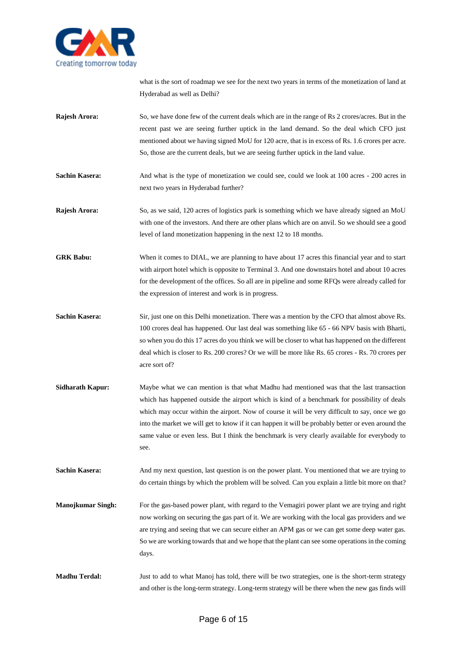

what is the sort of roadmap we see for the next two years in terms of the monetization of land at Hyderabad as well as Delhi?

- **Rajesh Arora:** So, we have done few of the current deals which are in the range of Rs 2 crores/acres. But in the recent past we are seeing further uptick in the land demand. So the deal which CFO just mentioned about we having signed MoU for 120 acre, that is in excess of Rs. 1.6 crores per acre. So, those are the current deals, but we are seeing further uptick in the land value.
- **Sachin Kasera:** And what is the type of monetization we could see, could we look at 100 acres 200 acres in next two years in Hyderabad further?
- **Rajesh Arora:** So, as we said, 120 acres of logistics park is something which we have already signed an MoU with one of the investors. And there are other plans which are on anvil. So we should see a good level of land monetization happening in the next 12 to 18 months.
- **GRK Babu:** When it comes to DIAL, we are planning to have about 17 acres this financial year and to start with airport hotel which is opposite to Terminal 3. And one downstairs hotel and about 10 acres for the development of the offices. So all are in pipeline and some RFQs were already called for the expression of interest and work is in progress.
- **Sachin Kasera:** Sir, just one on this Delhi monetization. There was a mention by the CFO that almost above Rs. 100 crores deal has happened. Our last deal was something like 65 - 66 NPV basis with Bharti, so when you do this 17 acres do you think we will be closer to what has happened on the different deal which is closer to Rs. 200 crores? Or we will be more like Rs. 65 crores - Rs. 70 crores per acre sort of?
- **Sidharath Kapur:** Maybe what we can mention is that what Madhu had mentioned was that the last transaction which has happened outside the airport which is kind of a benchmark for possibility of deals which may occur within the airport. Now of course it will be very difficult to say, once we go into the market we will get to know if it can happen it will be probably better or even around the same value or even less. But I think the benchmark is very clearly available for everybody to see.
- **Sachin Kasera:** And my next question, last question is on the power plant. You mentioned that we are trying to do certain things by which the problem will be solved. Can you explain a little bit more on that?
- **Manojkumar Singh:** For the gas-based power plant, with regard to the Vemagiri power plant we are trying and right now working on securing the gas part of it. We are working with the local gas providers and we are trying and seeing that we can secure either an APM gas or we can get some deep water gas. So we are working towards that and we hope that the plant can see some operations in the coming days.
- **Madhu Terdal:** Just to add to what Manoj has told, there will be two strategies, one is the short-term strategy and other is the long-term strategy. Long-term strategy will be there when the new gas finds will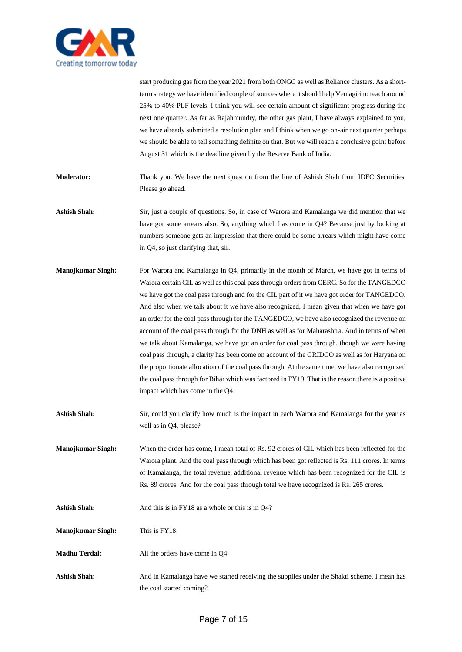

start producing gas from the year 2021 from both ONGC as well as Reliance clusters. As a shortterm strategy we have identified couple of sources where it should help Vemagiri to reach around 25% to 40% PLF levels. I think you will see certain amount of significant progress during the next one quarter. As far as Rajahmundry, the other gas plant, I have always explained to you, we have already submitted a resolution plan and I think when we go on-air next quarter perhaps we should be able to tell something definite on that. But we will reach a conclusive point before August 31 which is the deadline given by the Reserve Bank of India.

**Moderator:** Thank you. We have the next question from the line of Ashish Shah from IDFC Securities. Please go ahead.

- **Ashish Shah:** Sir, just a couple of questions. So, in case of Warora and Kamalanga we did mention that we have got some arrears also. So, anything which has come in Q4? Because just by looking at numbers someone gets an impression that there could be some arrears which might have come in Q4, so just clarifying that, sir.
- **Manojkumar Singh:** For Warora and Kamalanga in Q4, primarily in the month of March, we have got in terms of Warora certain CIL as well as this coal pass through orders from CERC. So for the TANGEDCO we have got the coal pass through and for the CIL part of it we have got order for TANGEDCO. And also when we talk about it we have also recognized, I mean given that when we have got an order for the coal pass through for the TANGEDCO, we have also recognized the revenue on account of the coal pass through for the DNH as well as for Maharashtra. And in terms of when we talk about Kamalanga, we have got an order for coal pass through, though we were having coal pass through, a clarity has been come on account of the GRIDCO as well as for Haryana on the proportionate allocation of the coal pass through. At the same time, we have also recognized the coal pass through for Bihar which was factored in FY19. That is the reason there is a positive impact which has come in the Q4.
- **Ashish Shah:** Sir, could you clarify how much is the impact in each Warora and Kamalanga for the year as well as in Q4, please?
- **Manojkumar Singh:** When the order has come, I mean total of Rs. 92 crores of CIL which has been reflected for the Warora plant. And the coal pass through which has been got reflected is Rs. 111 crores. In terms of Kamalanga, the total revenue, additional revenue which has been recognized for the CIL is Rs. 89 crores. And for the coal pass through total we have recognized is Rs. 265 crores.
- Ashish Shah: And this is in FY18 as a whole or this is in Q4?
- **Manojkumar Singh:** This is FY18.
- **Madhu Terdal:** All the orders have come in Q4.
- Ashish Shah: And in Kamalanga have we started receiving the supplies under the Shakti scheme, I mean has the coal started coming?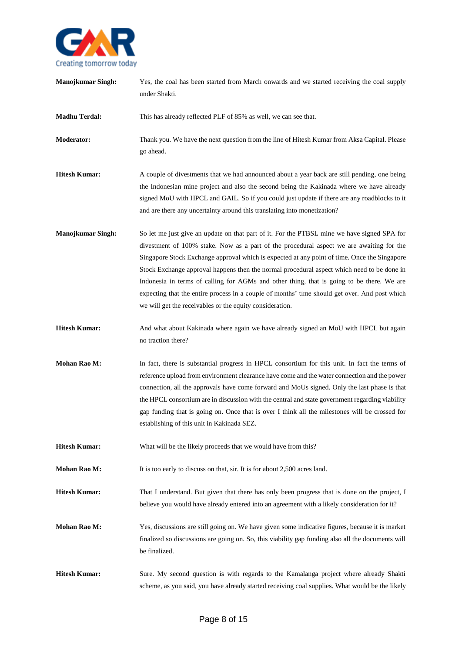

| <b>Manojkumar Singh:</b> | Yes, the coal has been started from March onwards and we started receiving the coal supply<br>under Shakti.                                                                                                                                                                                                                                                                                                                                                                                                                                                                                                                                     |
|--------------------------|-------------------------------------------------------------------------------------------------------------------------------------------------------------------------------------------------------------------------------------------------------------------------------------------------------------------------------------------------------------------------------------------------------------------------------------------------------------------------------------------------------------------------------------------------------------------------------------------------------------------------------------------------|
| <b>Madhu Terdal:</b>     | This has already reflected PLF of 85% as well, we can see that.                                                                                                                                                                                                                                                                                                                                                                                                                                                                                                                                                                                 |
| Moderator:               | Thank you. We have the next question from the line of Hitesh Kumar from Aksa Capital. Please<br>go ahead.                                                                                                                                                                                                                                                                                                                                                                                                                                                                                                                                       |
| <b>Hitesh Kumar:</b>     | A couple of divestments that we had announced about a year back are still pending, one being<br>the Indonesian mine project and also the second being the Kakinada where we have already<br>signed MoU with HPCL and GAIL. So if you could just update if there are any roadblocks to it<br>and are there any uncertainty around this translating into monetization?                                                                                                                                                                                                                                                                            |
| <b>Manojkumar Singh:</b> | So let me just give an update on that part of it. For the PTBSL mine we have signed SPA for<br>divestment of 100% stake. Now as a part of the procedural aspect we are awaiting for the<br>Singapore Stock Exchange approval which is expected at any point of time. Once the Singapore<br>Stock Exchange approval happens then the normal procedural aspect which need to be done in<br>Indonesia in terms of calling for AGMs and other thing, that is going to be there. We are<br>expecting that the entire process in a couple of months' time should get over. And post which<br>we will get the receivables or the equity consideration. |
| <b>Hitesh Kumar:</b>     | And what about Kakinada where again we have already signed an MoU with HPCL but again<br>no traction there?                                                                                                                                                                                                                                                                                                                                                                                                                                                                                                                                     |
| Mohan Rao M:             | In fact, there is substantial progress in HPCL consortium for this unit. In fact the terms of<br>reference upload from environment clearance have come and the water connection and the power<br>connection, all the approvals have come forward and MoUs signed. Only the last phase is that<br>the HPCL consortium are in discussion with the central and state government regarding viability<br>gap funding that is going on. Once that is over I think all the milestones will be crossed for<br>establishing of this unit in Kakinada SEZ.                                                                                                |
| <b>Hitesh Kumar:</b>     | What will be the likely proceeds that we would have from this?                                                                                                                                                                                                                                                                                                                                                                                                                                                                                                                                                                                  |
| Mohan Rao M:             | It is too early to discuss on that, sir. It is for about 2,500 acres land.                                                                                                                                                                                                                                                                                                                                                                                                                                                                                                                                                                      |
| <b>Hitesh Kumar:</b>     | That I understand. But given that there has only been progress that is done on the project, I<br>believe you would have already entered into an agreement with a likely consideration for it?                                                                                                                                                                                                                                                                                                                                                                                                                                                   |
| Mohan Rao M:             | Yes, discussions are still going on. We have given some indicative figures, because it is market<br>finalized so discussions are going on. So, this viability gap funding also all the documents will<br>be finalized.                                                                                                                                                                                                                                                                                                                                                                                                                          |
| <b>Hitesh Kumar:</b>     | Sure. My second question is with regards to the Kamalanga project where already Shakti<br>scheme, as you said, you have already started receiving coal supplies. What would be the likely                                                                                                                                                                                                                                                                                                                                                                                                                                                       |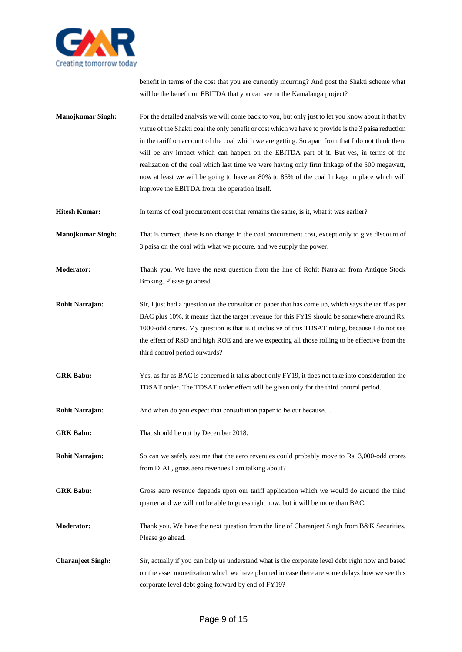

benefit in terms of the cost that you are currently incurring? And post the Shakti scheme what will be the benefit on EBITDA that you can see in the Kamalanga project?

- **Manojkumar Singh:** For the detailed analysis we will come back to you, but only just to let you know about it that by virtue of the Shakti coal the only benefit or cost which we have to provide is the 3 paisa reduction in the tariff on account of the coal which we are getting. So apart from that I do not think there will be any impact which can happen on the EBITDA part of it. But yes, in terms of the realization of the coal which last time we were having only firm linkage of the 500 megawatt, now at least we will be going to have an 80% to 85% of the coal linkage in place which will improve the EBITDA from the operation itself.
- **Hitesh Kumar:** In terms of coal procurement cost that remains the same, is it, what it was earlier?

**Manojkumar Singh:** That is correct, there is no change in the coal procurement cost, except only to give discount of 3 paisa on the coal with what we procure, and we supply the power.

**Moderator:** Thank you. We have the next question from the line of Rohit Natrajan from Antique Stock Broking. Please go ahead.

- **Rohit Natrajan:** Sir, I just had a question on the consultation paper that has come up, which says the tariff as per BAC plus 10%, it means that the target revenue for this FY19 should be somewhere around Rs. 1000-odd crores. My question is that is it inclusive of this TDSAT ruling, because I do not see the effect of RSD and high ROE and are we expecting all those rolling to be effective from the third control period onwards?
- **GRK Babu:** Yes, as far as BAC is concerned it talks about only FY19, it does not take into consideration the TDSAT order. The TDSAT order effect will be given only for the third control period.
- **Rohit Natrajan:** And when do you expect that consultation paper to be out because...
- **GRK Babu:** That should be out by December 2018.
- **Rohit Natrajan:** So can we safely assume that the aero revenues could probably move to Rs. 3,000-odd crores from DIAL, gross aero revenues I am talking about?
- **GRK Babu:** Gross aero revenue depends upon our tariff application which we would do around the third quarter and we will not be able to guess right now, but it will be more than BAC.
- **Moderator:** Thank you. We have the next question from the line of Charanjeet Singh from B&K Securities. Please go ahead.
- **Charanjeet Singh:** Sir, actually if you can help us understand what is the corporate level debt right now and based on the asset monetization which we have planned in case there are some delays how we see this corporate level debt going forward by end of FY19?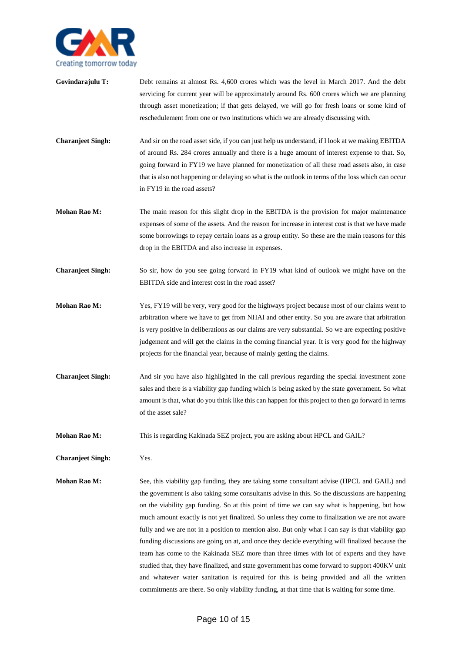

- Govindarajulu T: Debt remains at almost Rs. 4,600 crores which was the level in March 2017. And the debt servicing for current year will be approximately around Rs. 600 crores which we are planning through asset monetization; if that gets delayed, we will go for fresh loans or some kind of reschedulement from one or two institutions which we are already discussing with.
- **Charanjeet Singh:** And sir on the road asset side, if you can just help us understand, if I look at we making EBITDA of around Rs. 284 crores annually and there is a huge amount of interest expense to that. So, going forward in FY19 we have planned for monetization of all these road assets also, in case that is also not happening or delaying so what is the outlook in terms of the loss which can occur in FY19 in the road assets?
- **Mohan Rao M:** The main reason for this slight drop in the EBITDA is the provision for major maintenance expenses of some of the assets. And the reason for increase in interest cost is that we have made some borrowings to repay certain loans as a group entity. So these are the main reasons for this drop in the EBITDA and also increase in expenses.
- **Charanjeet Singh:** So sir, how do you see going forward in FY19 what kind of outlook we might have on the EBITDA side and interest cost in the road asset?
- **Mohan Rao M:** Yes, FY19 will be very, very good for the highways project because most of our claims went to arbitration where we have to get from NHAI and other entity. So you are aware that arbitration is very positive in deliberations as our claims are very substantial. So we are expecting positive judgement and will get the claims in the coming financial year. It is very good for the highway projects for the financial year, because of mainly getting the claims.
- **Charanjeet Singh:** And sir you have also highlighted in the call previous regarding the special investment zone sales and there is a viability gap funding which is being asked by the state government. So what amount is that, what do you think like this can happen for this project to then go forward in terms of the asset sale?
- **Mohan Rao M:** This is regarding Kakinada SEZ project, you are asking about HPCL and GAIL?

**Charanjeet Singh:** Yes.

**Mohan Rao M:** See, this viability gap funding, they are taking some consultant advise (HPCL and GAIL) and the government is also taking some consultants advise in this. So the discussions are happening on the viability gap funding. So at this point of time we can say what is happening, but how much amount exactly is not yet finalized. So unless they come to finalization we are not aware fully and we are not in a position to mention also. But only what I can say is that viability gap funding discussions are going on at, and once they decide everything will finalized because the team has come to the Kakinada SEZ more than three times with lot of experts and they have studied that, they have finalized, and state government has come forward to support 400KV unit and whatever water sanitation is required for this is being provided and all the written commitments are there. So only viability funding, at that time that is waiting for some time.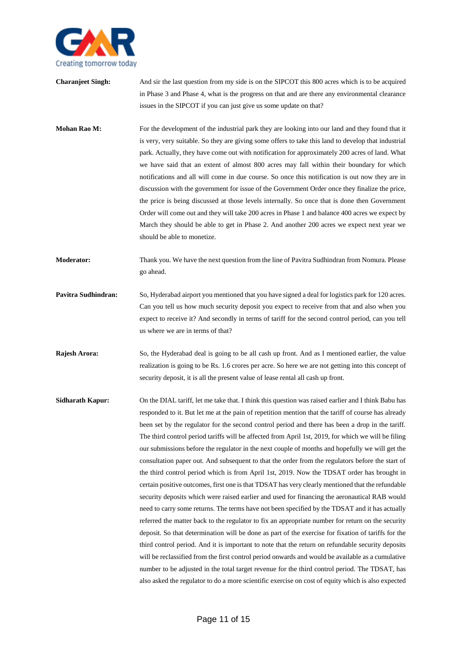

- **Charanjeet Singh:** And sir the last question from my side is on the SIPCOT this 800 acres which is to be acquired in Phase 3 and Phase 4, what is the progress on that and are there any environmental clearance issues in the SIPCOT if you can just give us some update on that?
- **Mohan Rao M:** For the development of the industrial park they are looking into our land and they found that it is very, very suitable. So they are giving some offers to take this land to develop that industrial park. Actually, they have come out with notification for approximately 200 acres of land. What we have said that an extent of almost 800 acres may fall within their boundary for which notifications and all will come in due course. So once this notification is out now they are in discussion with the government for issue of the Government Order once they finalize the price, the price is being discussed at those levels internally. So once that is done then Government Order will come out and they will take 200 acres in Phase 1 and balance 400 acres we expect by March they should be able to get in Phase 2. And another 200 acres we expect next year we should be able to monetize.
- **Moderator:** Thank you. We have the next question from the line of Pavitra Sudhindran from Nomura. Please go ahead.
- **Pavitra Sudhindran:** So, Hyderabad airport you mentioned that you have signed a deal for logistics park for 120 acres. Can you tell us how much security deposit you expect to receive from that and also when you expect to receive it? And secondly in terms of tariff for the second control period, can you tell us where we are in terms of that?
- **Rajesh Arora:** So, the Hyderabad deal is going to be all cash up front. And as I mentioned earlier, the value realization is going to be Rs. 1.6 crores per acre. So here we are not getting into this concept of security deposit, it is all the present value of lease rental all cash up front.
- **Sidharath Kapur:** On the DIAL tariff, let me take that. I think this question was raised earlier and I think Babu has responded to it. But let me at the pain of repetition mention that the tariff of course has already been set by the regulator for the second control period and there has been a drop in the tariff. The third control period tariffs will be affected from April 1st, 2019, for which we will be filing our submissions before the regulator in the next couple of months and hopefully we will get the consultation paper out. And subsequent to that the order from the regulators before the start of the third control period which is from April 1st, 2019. Now the TDSAT order has brought in certain positive outcomes, first one is that TDSAT has very clearly mentioned that the refundable security deposits which were raised earlier and used for financing the aeronautical RAB would need to carry some returns. The terms have not been specified by the TDSAT and it has actually referred the matter back to the regulator to fix an appropriate number for return on the security deposit. So that determination will be done as part of the exercise for fixation of tariffs for the third control period. And it is important to note that the return on refundable security deposits will be reclassified from the first control period onwards and would be available as a cumulative number to be adjusted in the total target revenue for the third control period. The TDSAT, has also asked the regulator to do a more scientific exercise on cost of equity which is also expected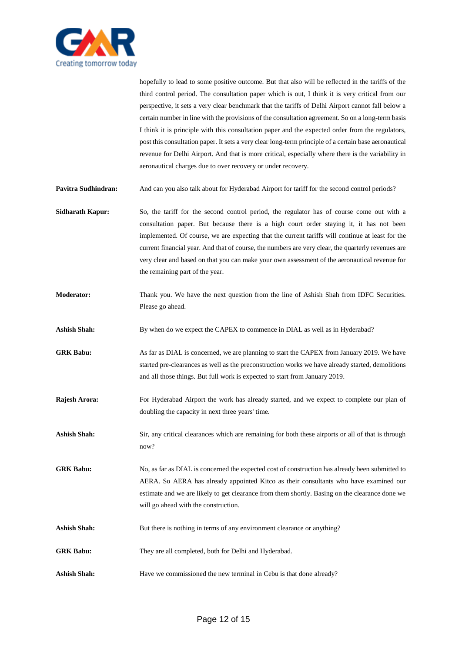

hopefully to lead to some positive outcome. But that also will be reflected in the tariffs of the third control period. The consultation paper which is out, I think it is very critical from our perspective, it sets a very clear benchmark that the tariffs of Delhi Airport cannot fall below a certain number in line with the provisions of the consultation agreement. So on a long-term basis I think it is principle with this consultation paper and the expected order from the regulators, post this consultation paper. It sets a very clear long-term principle of a certain base aeronautical revenue for Delhi Airport. And that is more critical, especially where there is the variability in aeronautical charges due to over recovery or under recovery.

**Pavitra Sudhindran:** And can you also talk about for Hyderabad Airport for tariff for the second control periods?

**Sidharath Kapur:** So, the tariff for the second control period, the regulator has of course come out with a consultation paper. But because there is a high court order staying it, it has not been implemented. Of course, we are expecting that the current tariffs will continue at least for the current financial year. And that of course, the numbers are very clear, the quarterly revenues are very clear and based on that you can make your own assessment of the aeronautical revenue for the remaining part of the year.

- **Moderator:** Thank you. We have the next question from the line of Ashish Shah from IDFC Securities. Please go ahead.
- **Ashish Shah:** By when do we expect the CAPEX to commence in DIAL as well as in Hyderabad?

**GRK Babu:** As far as DIAL is concerned, we are planning to start the CAPEX from January 2019. We have started pre-clearances as well as the preconstruction works we have already started, demolitions and all those things. But full work is expected to start from January 2019.

- **Rajesh Arora:** For Hyderabad Airport the work has already started, and we expect to complete our plan of doubling the capacity in next three years' time.
- **Ashish Shah:** Sir, any critical clearances which are remaining for both these airports or all of that is through now?

GRK Babu: No, as far as DIAL is concerned the expected cost of construction has already been submitted to AERA. So AERA has already appointed Kitco as their consultants who have examined our estimate and we are likely to get clearance from them shortly. Basing on the clearance done we will go ahead with the construction.

- Ashish Shah: But there is nothing in terms of any environment clearance or anything?
- **GRK Babu:** They are all completed, both for Delhi and Hyderabad.
- **Ashish Shah:** Have we commissioned the new terminal in Cebu is that done already?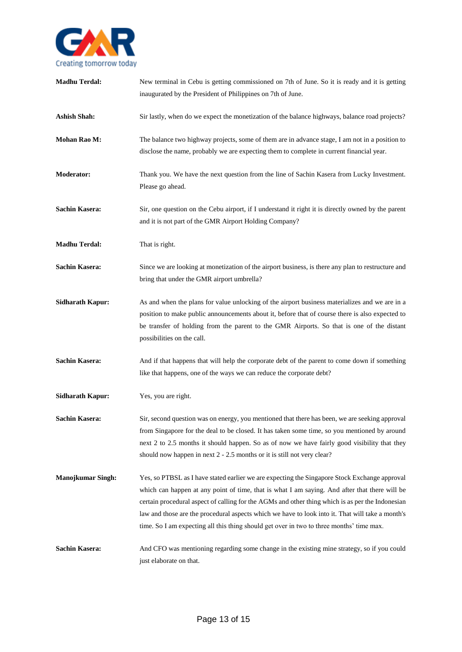

| <b>Madhu Terdal:</b>     | New terminal in Cebu is getting commissioned on 7th of June. So it is ready and it is getting<br>inaugurated by the President of Philippines on 7th of June.                                                                                                                                                                                                                                                                                                                                       |
|--------------------------|----------------------------------------------------------------------------------------------------------------------------------------------------------------------------------------------------------------------------------------------------------------------------------------------------------------------------------------------------------------------------------------------------------------------------------------------------------------------------------------------------|
| <b>Ashish Shah:</b>      | Sir lastly, when do we expect the monetization of the balance highways, balance road projects?                                                                                                                                                                                                                                                                                                                                                                                                     |
| Mohan Rao M:             | The balance two highway projects, some of them are in advance stage, I am not in a position to<br>disclose the name, probably we are expecting them to complete in current financial year.                                                                                                                                                                                                                                                                                                         |
| Moderator:               | Thank you. We have the next question from the line of Sachin Kasera from Lucky Investment.<br>Please go ahead.                                                                                                                                                                                                                                                                                                                                                                                     |
| <b>Sachin Kasera:</b>    | Sir, one question on the Cebu airport, if I understand it right it is directly owned by the parent<br>and it is not part of the GMR Airport Holding Company?                                                                                                                                                                                                                                                                                                                                       |
| <b>Madhu Terdal:</b>     | That is right.                                                                                                                                                                                                                                                                                                                                                                                                                                                                                     |
| <b>Sachin Kasera:</b>    | Since we are looking at monetization of the airport business, is there any plan to restructure and<br>bring that under the GMR airport umbrella?                                                                                                                                                                                                                                                                                                                                                   |
| <b>Sidharath Kapur:</b>  | As and when the plans for value unlocking of the airport business materializes and we are in a<br>position to make public announcements about it, before that of course there is also expected to<br>be transfer of holding from the parent to the GMR Airports. So that is one of the distant<br>possibilities on the call.                                                                                                                                                                       |
| <b>Sachin Kasera:</b>    | And if that happens that will help the corporate debt of the parent to come down if something<br>like that happens, one of the ways we can reduce the corporate debt?                                                                                                                                                                                                                                                                                                                              |
| <b>Sidharath Kapur:</b>  | Yes, you are right.                                                                                                                                                                                                                                                                                                                                                                                                                                                                                |
| <b>Sachin Kasera:</b>    | Sir, second question was on energy, you mentioned that there has been, we are seeking approval<br>from Singapore for the deal to be closed. It has taken some time, so you mentioned by around<br>next 2 to 2.5 months it should happen. So as of now we have fairly good visibility that they<br>should now happen in next 2 - 2.5 months or it is still not very clear?                                                                                                                          |
| <b>Manojkumar Singh:</b> | Yes, so PTBSL as I have stated earlier we are expecting the Singapore Stock Exchange approval<br>which can happen at any point of time, that is what I am saying. And after that there will be<br>certain procedural aspect of calling for the AGMs and other thing which is as per the Indonesian<br>law and those are the procedural aspects which we have to look into it. That will take a month's<br>time. So I am expecting all this thing should get over in two to three months' time max. |
| <b>Sachin Kasera:</b>    | And CFO was mentioning regarding some change in the existing mine strategy, so if you could<br>just elaborate on that.                                                                                                                                                                                                                                                                                                                                                                             |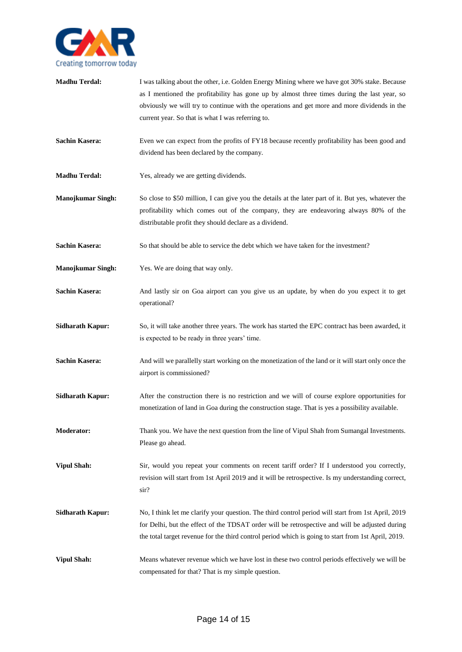

| <b>Madhu Terdal:</b>     | I was talking about the other, i.e. Golden Energy Mining where we have got 30% stake. Because<br>as I mentioned the profitability has gone up by almost three times during the last year, so<br>obviously we will try to continue with the operations and get more and more dividends in the<br>current year. So that is what I was referring to. |
|--------------------------|---------------------------------------------------------------------------------------------------------------------------------------------------------------------------------------------------------------------------------------------------------------------------------------------------------------------------------------------------|
| <b>Sachin Kasera:</b>    | Even we can expect from the profits of FY18 because recently profitability has been good and<br>dividend has been declared by the company.                                                                                                                                                                                                        |
| <b>Madhu Terdal:</b>     | Yes, already we are getting dividends.                                                                                                                                                                                                                                                                                                            |
| <b>Manojkumar Singh:</b> | So close to \$50 million, I can give you the details at the later part of it. But yes, whatever the<br>profitability which comes out of the company, they are endeavoring always 80% of the<br>distributable profit they should declare as a dividend.                                                                                            |
| <b>Sachin Kasera:</b>    | So that should be able to service the debt which we have taken for the investment?                                                                                                                                                                                                                                                                |
| <b>Manojkumar Singh:</b> | Yes. We are doing that way only.                                                                                                                                                                                                                                                                                                                  |
| <b>Sachin Kasera:</b>    | And lastly sir on Goa airport can you give us an update, by when do you expect it to get<br>operational?                                                                                                                                                                                                                                          |
| <b>Sidharath Kapur:</b>  | So, it will take another three years. The work has started the EPC contract has been awarded, it<br>is expected to be ready in three years' time.                                                                                                                                                                                                 |
| <b>Sachin Kasera:</b>    | And will we parallelly start working on the monetization of the land or it will start only once the<br>airport is commissioned?                                                                                                                                                                                                                   |
| <b>Sidharath Kapur:</b>  | After the construction there is no restriction and we will of course explore opportunities for<br>monetization of land in Goa during the construction stage. That is yes a possibility available.                                                                                                                                                 |
| <b>Moderator:</b>        | Thank you. We have the next question from the line of Vipul Shah from Sumangal Investments.<br>Please go ahead.                                                                                                                                                                                                                                   |
| <b>Vipul Shah:</b>       | Sir, would you repeat your comments on recent tariff order? If I understood you correctly,<br>revision will start from 1st April 2019 and it will be retrospective. Is my understanding correct,<br>sir?                                                                                                                                          |
| <b>Sidharath Kapur:</b>  | No, I think let me clarify your question. The third control period will start from 1st April, 2019<br>for Delhi, but the effect of the TDSAT order will be retrospective and will be adjusted during<br>the total target revenue for the third control period which is going to start from 1st April, 2019.                                       |
| <b>Vipul Shah:</b>       | Means whatever revenue which we have lost in these two control periods effectively we will be<br>compensated for that? That is my simple question.                                                                                                                                                                                                |